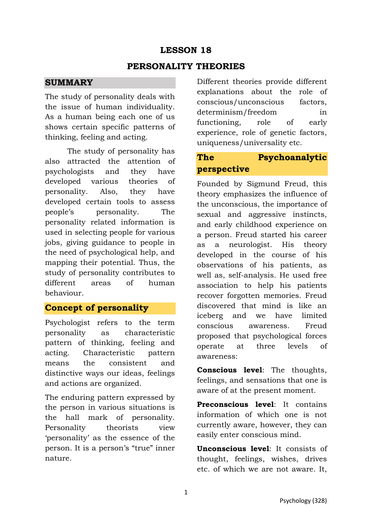## **LESSON 18**

#### **PERSONALITY THEORIES**

#### **SUMMARY**

The study of personality deals with the issue of human individuality. As a human being each one of us shows certain specific patterns of thinking, feeling and acting.

The study of personality has also attracted the attention of psychologists and they have developed various theories of personality. Also, they have developed certain tools to assess people's personality. The personality related information is used in selecting people for various jobs, giving guidance to people in the need of psychological help, and mapping their potential. Thus, the study of personality contributes to different areas of human behaviour.

#### **Concept of personality**

Psychologist refers to the term personality as characteristic pattern of thinking, feeling and acting. Characteristic pattern means the consistent and distinctive ways our ideas, feelings and actions are organized.

The enduring pattern expressed by the person in various situations is the hall mark of personality. Personality theorists view 'personality' as the essence of the person. It is a person's "true" inner nature.

Different theories provide different explanations about the role of conscious/unconscious factors, determinism/freedom in functioning, role of early experience, role of genetic factors, uniqueness/universality etc.

# **The Psychoanalytic perspective**

Founded by Sigmund Freud, this theory emphasizes the influence of the unconscious, the importance of sexual and aggressive instincts, and early childhood experience on a person. Freud started his career as a neurologist. His theory developed in the course of his observations of his patients, as well as, self-analysis. He used free association to help his patients recover forgotten memories. Freud discovered that mind is like an iceberg and we have limited conscious awareness. Freud proposed that psychological forces operate at three levels of awareness:

**Conscious level**: The thoughts, feelings, and sensations that one is aware of at the present moment.

**Preconscious level**: It contains information of which one is not currently aware, however, they can easily enter conscious mind.

**Unconscious level**: It consists of thought, feelings, wishes, drives etc. of which we are not aware. It,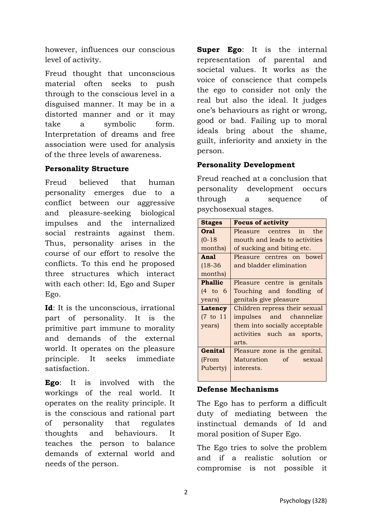however, influences our conscious level of activity.

Freud thought that unconscious material often seeks to push through to the conscious level in a disguised manner. It may be in a distorted manner and or it may take a symbolic form. Interpretation of dreams and free association were used for analysis of the three levels of awareness.

#### **Personality Structure**

Freud believed that human personality emerges due to a conflict between our aggressive and pleasure-seeking biological impulses and the internalized social restraints against them. Thus, personality arises in the course of our effort to resolve the conflicts. To this end he proposed three structures which interact with each other: Id, Ego and Super Ego.

**Id**: It is the unconscious, irrational part of personality. It is the primitive part immune to morality and demands of the external world. It operates on the pleasure principle. It seeks immediate satisfaction.

**Ego**: It is involved with the workings of the real world. It operates on the reality principle. It is the conscious and rational part of personality that regulates thoughts and behaviours. It teaches the person to balance demands of external world and needs of the person.

**Super Ego**: It is the internal representation of parental and societal values. It works as the voice of conscience that compels the ego to consider not only the real but also the ideal. It judges one's behaviours as right or wrong, good or bad. Failing up to moral ideals bring about the shame, guilt, inferiority and anxiety in the person.

## **Personality Development**

Freud reached at a conclusion that personality development occurs through a sequence of psychosexual stages.

| <b>Stages</b>  | <b>Focus of activity</b>      |
|----------------|-------------------------------|
| Oral           | Pleasure centres in the       |
| $(0-18)$       | mouth and leads to activities |
| months)        | of sucking and biting etc.    |
| Anal           | Pleasure centres on bowel     |
| $(18-36)$      | and bladder elimination       |
| months)        |                               |
| <b>Phallic</b> | Pleasure centre is genitals   |
| $(4 \tto 6)$   | Touching and fondling of      |
| years)         | genitals give pleasure        |
| Latency        | Children repress their sexual |
| $(7$ to $11$   | impulses and channelize       |
| years)         | them into socially acceptable |
|                | activities such as sports,    |
|                | arts.                         |
| Genital        | Pleasure zone is the genital. |
| (From          | Maturation of<br>sexual       |
| Puberty)       | interests.                    |
|                |                               |

#### **Defense Mechanisms**

The Ego has to perform a difficult duty of mediating between the instinctual demands of Id and moral position of Super Ego.

The Ego tries to solve the problem and if a realistic solution or compromise is not possible it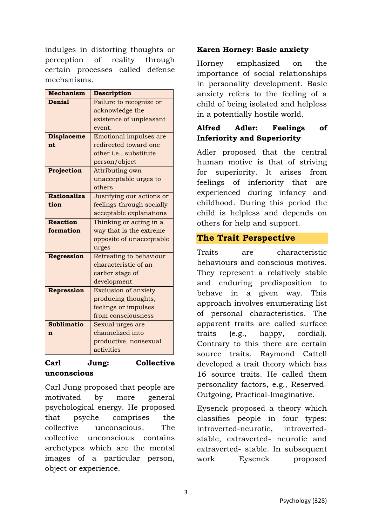indulges in distorting thoughts or perception of reality through certain processes called defense mechanisms.

| <b>Mechanism</b>   | Description                 |
|--------------------|-----------------------------|
| <b>Denial</b>      | Failure to recognize or     |
|                    | acknowledge the             |
|                    | existence of unpleasant     |
|                    | event.                      |
| <b>Displaceme</b>  | Emotional impulses are      |
| nt                 | redirected toward one       |
|                    | other i.e., substitute      |
|                    | person/object               |
| Projection         | Attributing own             |
|                    | unacceptable urges to       |
|                    | others                      |
| <b>Rationaliza</b> | Justifying our actions or   |
| tion               | feelings through socially   |
|                    | acceptable explanations     |
| <b>Reaction</b>    | Thinking or acting in a     |
| formation          | way that is the extreme     |
|                    | opposite of unacceptable    |
|                    | urges                       |
| <b>Regression</b>  | Retreating to behaviour     |
|                    | characteristic of an        |
|                    | earlier stage of            |
|                    | development                 |
| Repression         | <b>Exclusion of anxiety</b> |
|                    | producing thoughts,         |
|                    | feelings or impulses        |
|                    | from consciousness          |
| <b>Sublimatio</b>  | Sexual urges are            |
| n                  | channelized into            |
|                    | productive, nonsexual       |
|                    | activities                  |

#### **Carl Jung: Collective unconscious**

Carl Jung proposed that people are motivated by more general psychological energy. He proposed that psyche comprises the collective unconscious. The collective unconscious contains archetypes which are the mental images of a particular person, object or experience.

#### **Karen Horney: Basic anxiety**

Horney emphasized on the importance of social relationships in personality development. Basic anxiety refers to the feeling of a child of being isolated and helpless in a potentially hostile world.

## **Alfred Adler: Feelings of Inferiority and Superiority**

Adler proposed that the central human motive is that of striving for superiority. It arises from feelings of inferiority that are experienced during infancy and childhood. During this period the child is helpless and depends on others for help and support.

## **The Trait Perspective**

Traits are characteristic behaviours and conscious motives. They represent a relatively stable and enduring predisposition to behave in a given way. This approach involves enumerating list of personal characteristics. The apparent traits are called surface traits (e.g., happy, cordial). Contrary to this there are certain source traits. Raymond Cattell developed a trait theory which has 16 source traits. He called them personality factors, e.g., Reserved-Outgoing, Practical-Imaginative.

Eysenck proposed a theory which classifies people in four types: introverted-neurotic, introvertedstable, extraverted- neurotic and extraverted- stable. In subsequent work Eysenck proposed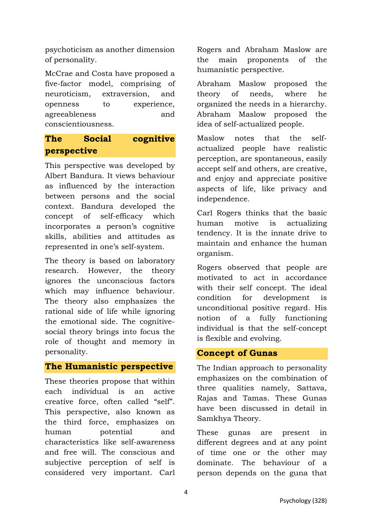psychoticism as another dimension of personality.

McCrae and Costa have proposed a five-factor model, comprising of neuroticism, extraversion, and openness to experience, agreeableness and conscientiousness.

## **The Social cognitive perspective**

This perspective was developed by Albert Bandura. It views behaviour as influenced by the interaction between persons and the social context. Bandura developed the concept of self-efficacy which incorporates a person's cognitive skills, abilities and attitudes as represented in one's self-system.

The theory is based on laboratory research. However, the theory ignores the unconscious factors which may influence behaviour. The theory also emphasizes the rational side of life while ignoring the emotional side. The cognitivesocial theory brings into focus the role of thought and memory in personality.

## **The Humanistic perspective**

These theories propose that within each individual is an active creative force, often called "self". This perspective, also known as the third force, emphasizes on human potential and characteristics like self-awareness and free will. The conscious and subjective perception of self is considered very important. Carl Rogers and Abraham Maslow are the main proponents of the humanistic perspective.

Abraham Maslow proposed the theory of needs, where he organized the needs in a hierarchy. Abraham Maslow proposed the idea of self-actualized people.

Maslow notes that the selfactualized people have realistic perception, are spontaneous, easily accept self and others, are creative, and enjoy and appreciate positive aspects of life, like privacy and independence.

Carl Rogers thinks that the basic human motive is actualizing tendency. It is the innate drive to maintain and enhance the human organism.

Rogers observed that people are motivated to act in accordance with their self concept. The ideal condition for development is unconditional positive regard. His notion of a fully functioning individual is that the self-concept is flexible and evolving.

#### **Concept of Gunas**

The Indian approach to personality emphasizes on the combination of three qualities namely, Sattava, Rajas and Tamas. These Gunas have been discussed in detail in Samkhya Theory.

These gunas are present in different degrees and at any point of time one or the other may dominate. The behaviour of a person depends on the guna that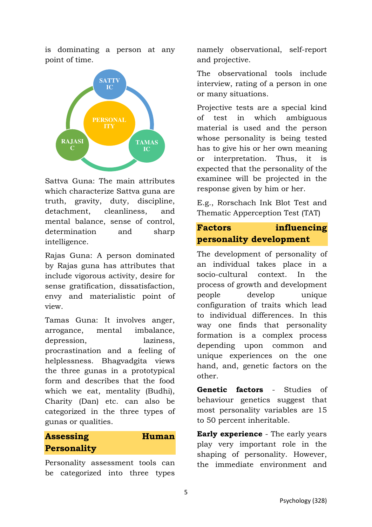is dominating a person at any point of time.



Sattva Guna: The main attributes which characterize Sattva guna are truth, gravity, duty, discipline, detachment, cleanliness, and mental balance, sense of control, determination and sharp intelligence.

Rajas Guna: A person dominated by Rajas guna has attributes that include vigorous activity, desire for sense gratification, dissatisfaction, envy and materialistic point of view.

Tamas Guna: It involves anger, arrogance, mental imbalance, depression, laziness, procrastination and a feeling of helplessness. Bhagvadgita views the three gunas in a prototypical form and describes that the food which we eat, mentality (Budhi), Charity (Dan) etc. can also be categorized in the three types of gunas or qualities.

## **Assessing Human Personality**

Personality assessment tools can be categorized into three types namely observational, self-report and projective.

The observational tools include interview, rating of a person in one or many situations.

Projective tests are a special kind of test in which ambiguous material is used and the person whose personality is being tested has to give his or her own meaning or interpretation. Thus, it is expected that the personality of the examinee will be projected in the response given by him or her.

E.g., Rorschach Ink Blot Test and Thematic Apperception Test (TAT)

## **Factors influencing personality development**

The development of personality of an individual takes place in a socio-cultural context. In the process of growth and development people develop unique configuration of traits which lead to individual differences. In this way one finds that personality formation is a complex process depending upon common and unique experiences on the one hand, and, genetic factors on the other.

**Genetic factors** - Studies of behaviour genetics suggest that most personality variables are 15 to 50 percent inheritable.

**Early experience** - The early years play very important role in the shaping of personality. However, the immediate environment and